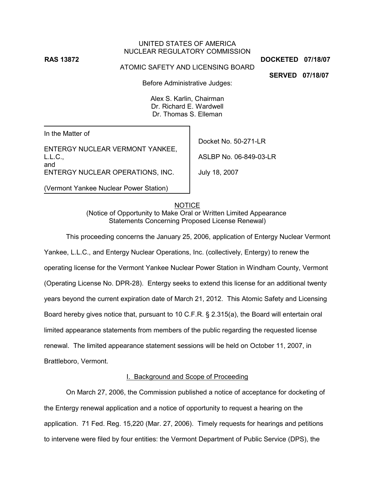# **RAS 13872 DOCKETED 07/18/07**

#### UNITED STATES OF AMERICA NUCLEAR REGULATORY COMMISSION

### ATOMIC SAFETY AND LICENSING BOARD

**SERVED 07/18/07**

Before Administrative Judges:

Alex S. Karlin, Chairman Dr. Richard E. Wardwell Dr. Thomas S. Elleman

In the Matter of

ENTERGY NUCLEAR VERMONT YANKEE, L.L.C., and ENTERGY NUCLEAR OPERATIONS, INC.

(Vermont Yankee Nuclear Power Station)

Docket No. 50-271-LR

ASLBP No. 06-849-03-LR

July 18, 2007

**NOTICE** (Notice of Opportunity to Make Oral or Written Limited Appearance Statements Concerning Proposed License Renewal)

This proceeding concerns the January 25, 2006, application of Entergy Nuclear Vermont Yankee, L.L.C., and Entergy Nuclear Operations, Inc. (collectively, Entergy) to renew the operating license for the Vermont Yankee Nuclear Power Station in Windham County, Vermont (Operating License No. DPR-28). Entergy seeks to extend this license for an additional twenty years beyond the current expiration date of March 21, 2012. This Atomic Safety and Licensing Board hereby gives notice that, pursuant to 10 C.F.R. § 2.315(a), the Board will entertain oral limited appearance statements from members of the public regarding the requested license renewal. The limited appearance statement sessions will be held on October 11, 2007, in Brattleboro, Vermont.

# I. Background and Scope of Proceeding

On March 27, 2006, the Commission published a notice of acceptance for docketing of the Entergy renewal application and a notice of opportunity to request a hearing on the application. 71 Fed. Reg. 15,220 (Mar. 27, 2006). Timely requests for hearings and petitions to intervene were filed by four entities: the Vermont Department of Public Service (DPS), the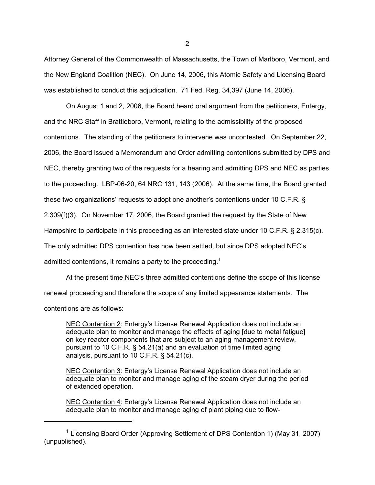Attorney General of the Commonwealth of Massachusetts, the Town of Marlboro, Vermont, and the New England Coalition (NEC). On June 14, 2006, this Atomic Safety and Licensing Board was established to conduct this adjudication. 71 Fed. Reg. 34,397 (June 14, 2006).

On August 1 and 2, 2006, the Board heard oral argument from the petitioners, Entergy, and the NRC Staff in Brattleboro, Vermont, relating to the admissibility of the proposed contentions. The standing of the petitioners to intervene was uncontested. On September 22, 2006, the Board issued a Memorandum and Order admitting contentions submitted by DPS and NEC, thereby granting two of the requests for a hearing and admitting DPS and NEC as parties to the proceeding. LBP-06-20, 64 NRC 131, 143 (2006). At the same time, the Board granted these two organizations' requests to adopt one another's contentions under 10 C.F.R. § 2.309(f)(3). On November 17, 2006, the Board granted the request by the State of New Hampshire to participate in this proceeding as an interested state under 10 C.F.R. § 2.315(c). The only admitted DPS contention has now been settled, but since DPS adopted NEC's admitted contentions, it remains a party to the proceeding.<sup>1</sup>

At the present time NEC's three admitted contentions define the scope of this license renewal proceeding and therefore the scope of any limited appearance statements. The contentions are as follows:

NEC Contention 2: Entergy's License Renewal Application does not include an adequate plan to monitor and manage the effects of aging [due to metal fatigue] on key reactor components that are subject to an aging management review, pursuant to 10 C.F.R. § 54.21(a) and an evaluation of time limited aging analysis, pursuant to 10 C.F.R. § 54.21(c).

NEC Contention 3: Entergy's License Renewal Application does not include an adequate plan to monitor and manage aging of the steam dryer during the period of extended operation.

NEC Contention 4: Entergy's License Renewal Application does not include an adequate plan to monitor and manage aging of plant piping due to flow-

<sup>&</sup>lt;sup>1</sup> Licensing Board Order (Approving Settlement of DPS Contention 1) (May 31, 2007) (unpublished).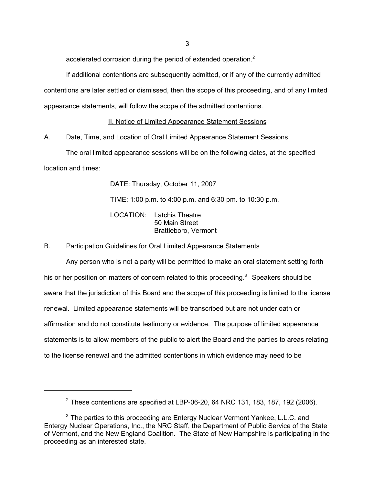accelerated corrosion during the period of extended operation.<sup>2</sup>

If additional contentions are subsequently admitted, or if any of the currently admitted contentions are later settled or dismissed, then the scope of this proceeding, and of any limited appearance statements, will follow the scope of the admitted contentions.

II. Notice of Limited Appearance Statement Sessions

A. Date, Time, and Location of Oral Limited Appearance Statement Sessions

The oral limited appearance sessions will be on the following dates, at the specified location and times:

DATE: Thursday, October 11, 2007

TIME: 1:00 p.m. to 4:00 p.m. and 6:30 pm. to 10:30 p.m.

LOCATION: Latchis Theatre 50 Main Street Brattleboro, Vermont

B. Participation Guidelines for Oral Limited Appearance Statements

Any person who is not a party will be permitted to make an oral statement setting forth his or her position on matters of concern related to this proceeding. $3$  Speakers should be aware that the jurisdiction of this Board and the scope of this proceeding is limited to the license renewal. Limited appearance statements will be transcribed but are not under oath or affirmation and do not constitute testimony or evidence. The purpose of limited appearance statements is to allow members of the public to alert the Board and the parties to areas relating to the license renewal and the admitted contentions in which evidence may need to be

 $2$  These contentions are specified at LBP-06-20, 64 NRC 131, 183, 187, 192 (2006).

<sup>&</sup>lt;sup>3</sup> The parties to this proceeding are Entergy Nuclear Vermont Yankee, L.L.C. and Entergy Nuclear Operations, Inc., the NRC Staff, the Department of Public Service of the State of Vermont, and the New England Coalition. The State of New Hampshire is participating in the proceeding as an interested state.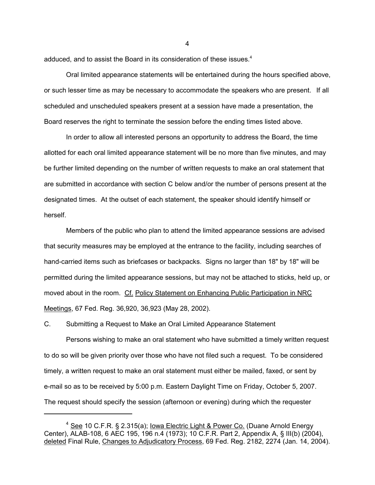adduced, and to assist the Board in its consideration of these issues.<sup>4</sup>

Oral limited appearance statements will be entertained during the hours specified above, or such lesser time as may be necessary to accommodate the speakers who are present. If all scheduled and unscheduled speakers present at a session have made a presentation, the Board reserves the right to terminate the session before the ending times listed above.

In order to allow all interested persons an opportunity to address the Board, the time allotted for each oral limited appearance statement will be no more than five minutes, and may be further limited depending on the number of written requests to make an oral statement that are submitted in accordance with section C below and/or the number of persons present at the designated times. At the outset of each statement, the speaker should identify himself or herself.

Members of the public who plan to attend the limited appearance sessions are advised that security measures may be employed at the entrance to the facility, including searches of hand-carried items such as briefcases or backpacks. Signs no larger than 18" by 18" will be permitted during the limited appearance sessions, but may not be attached to sticks, held up, or moved about in the room. Cf. Policy Statement on Enhancing Public Participation in NRC Meetings, 67 Fed. Reg. 36,920, 36,923 (May 28, 2002).

C. Submitting a Request to Make an Oral Limited Appearance Statement

Persons wishing to make an oral statement who have submitted a timely written request to do so will be given priority over those who have not filed such a request. To be considered timely, a written request to make an oral statement must either be mailed, faxed, or sent by e-mail so as to be received by 5:00 p.m. Eastern Daylight Time on Friday, October 5, 2007. The request should specify the session (afternoon or evening) during which the requester

4

<sup>&</sup>lt;sup>4</sup> See 10 C.F.R. § 2.315(a); <u>Iowa Electric Light & Power Co.</u> (Duane Arnold Energy Center), ALAB-108, 6 AEC 195, 196 n.4 (1973); 10 C.F.R. Part 2, Appendix A, § III(b) (2004), deleted Final Rule, Changes to Adjudicatory Process, 69 Fed. Reg. 2182, 2274 (Jan. 14, 2004).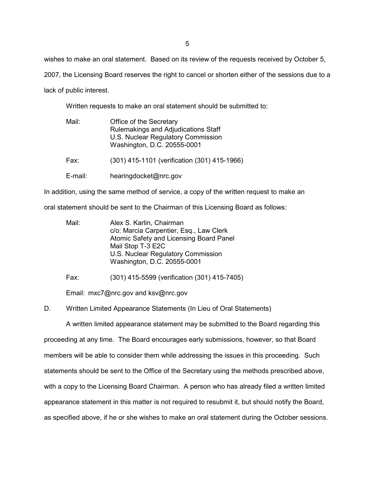wishes to make an oral statement. Based on its review of the requests received by October 5,

2007, the Licensing Board reserves the right to cancel or shorten either of the sessions due to a

lack of public interest.

Written requests to make an oral statement should be submitted to:

| Mail:   | Office of the Secretary<br>Rulemakings and Adjudications Staff<br>U.S. Nuclear Regulatory Commission<br>Washington, D.C. 20555-0001 |
|---------|-------------------------------------------------------------------------------------------------------------------------------------|
| Fax:    | (301) 415-1101 (verification (301) 415-1966)                                                                                        |
| E-mail: | hearingdocket@nrc.gov                                                                                                               |

In addition, using the same method of service, a copy of the written request to make an

oral statement should be sent to the Chairman of this Licensing Board as follows:

| Mail: | Alex S. Karlin, Chairman                |
|-------|-----------------------------------------|
|       | c/o: Marcia Carpentier, Esq., Law Clerk |
|       | Atomic Safety and Licensing Board Panel |
|       | Mail Stop T-3 E2C                       |
|       | U.S. Nuclear Regulatory Commission      |
|       | Washington, D.C. 20555-0001             |

Fax: (301) 415-5599 (verification (301) 415-7405)

Email: mxc7@nrc.gov and ksv@nrc.gov

D. Written Limited Appearance Statements (In Lieu of Oral Statements)

A written limited appearance statement may be submitted to the Board regarding this proceeding at any time. The Board encourages early submissions, however, so that Board members will be able to consider them while addressing the issues in this proceeding. Such statements should be sent to the Office of the Secretary using the methods prescribed above, with a copy to the Licensing Board Chairman. A person who has already filed a written limited appearance statement in this matter is not required to resubmit it, but should notify the Board, as specified above, if he or she wishes to make an oral statement during the October sessions.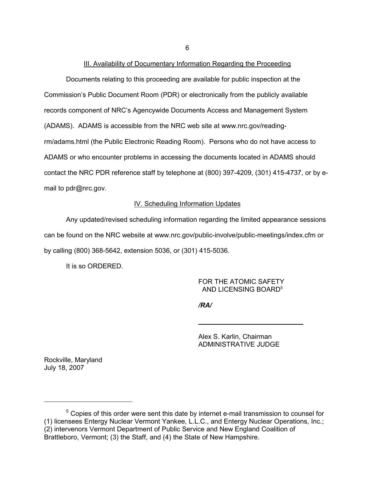#### III. Availability of Documentary Information Regarding the Proceeding

Documents relating to this proceeding are available for public inspection at the Commission's Public Document Room (PDR) or electronically from the publicly available records component of NRC's Agencywide Documents Access and Management System (ADAMS). ADAMS is accessible from the NRC web site at www.nrc.gov/readingrm/adams.html (the Public Electronic Reading Room). Persons who do not have access to ADAMS or who encounter problems in accessing the documents located in ADAMS should contact the NRC PDR reference staff by telephone at (800) 397-4209, (301) 415-4737, or by email to pdr@nrc.gov.

#### IV. Scheduling Information Updates

Any updated/revised scheduling information regarding the limited appearance sessions can be found on the NRC website at www.nrc.gov/public-involve/public-meetings/index.cfm or by calling (800) 368-5642, extension 5036, or (301) 415-5036.

It is so ORDERED.

FOR THE ATOMIC SAFETY AND LICENSING BOARD<sup>5</sup>

*/RA/*

Alex S. Karlin, Chairman ADMINISTRATIVE JUDGE

\_\_\_\_\_\_\_\_\_\_\_\_\_\_\_\_\_\_\_\_\_\_\_\_\_\_\_\_

Rockville, Maryland July 18, 2007

6

<sup>&</sup>lt;sup>5</sup> Copies of this order were sent this date by internet e-mail transmission to counsel for (1) licensees Entergy Nuclear Vermont Yankee, L.L.C., and Entergy Nuclear Operations, Inc.; (2) intervenors Vermont Department of Public Service and New England Coalition of Brattleboro, Vermont; (3) the Staff, and (4) the State of New Hampshire.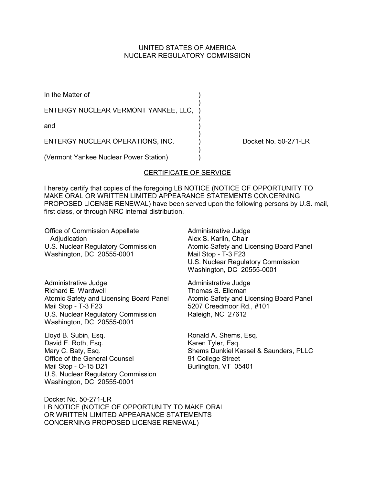## UNITED STATES OF AMERICA NUCLEAR REGULATORY COMMISSION

| In the Matter of                                                                                                                                                                                                                                                                             |  |
|----------------------------------------------------------------------------------------------------------------------------------------------------------------------------------------------------------------------------------------------------------------------------------------------|--|
| ENTERGY NUCLEAR VERMONT YANKEE, LLC,                                                                                                                                                                                                                                                         |  |
| and                                                                                                                                                                                                                                                                                          |  |
| ENTERGY NUCLEAR OPERATIONS, INC.                                                                                                                                                                                                                                                             |  |
| $\mathbf{A}$ and the state of $\mathbf{A}$ and $\mathbf{A}$ and $\mathbf{A}$ and $\mathbf{A}$ and $\mathbf{A}$ and $\mathbf{A}$ and $\mathbf{A}$ and $\mathbf{A}$ and $\mathbf{A}$ and $\mathbf{A}$ and $\mathbf{A}$ and $\mathbf{A}$ and $\mathbf{A}$ and $\mathbf{A}$ and $\mathbf{A}$ and |  |

Docket No. 50-271-LR

(Vermont Yankee Nuclear Power Station) )

# CERTIFICATE OF SERVICE

I hereby certify that copies of the foregoing LB NOTICE (NOTICE OF OPPORTUNITY TO MAKE ORAL OR WRITTEN LIMITED APPEARANCE STATEMENTS CONCERNING PROPOSED LICENSE RENEWAL) have been served upon the following persons by U.S. mail, first class, or through NRC internal distribution.

Office of Commission Appellate Adjudication U.S. Nuclear Regulatory Commission Washington, DC 20555-0001

Administrative Judge Richard E. Wardwell Atomic Safety and Licensing Board Panel Mail Stop - T-3 F23 U.S. Nuclear Regulatory Commission Washington, DC 20555-0001

Lloyd B. Subin, Esq. David E. Roth, Esq. Mary C. Baty, Esq. Office of the General Counsel Mail Stop - O-15 D21 U.S. Nuclear Regulatory Commission Washington, DC 20555-0001

Administrative Judge Alex S. Karlin, Chair Atomic Safety and Licensing Board Panel Mail Stop - T-3 F23 U.S. Nuclear Regulatory Commission Washington, DC 20555-0001

Administrative Judge Thomas S. Elleman Atomic Safety and Licensing Board Panel 5207 Creedmoor Rd., #101 Raleigh, NC 27612

Ronald A. Shems, Esq. Karen Tyler, Esq. Shems Dunkiel Kassel & Saunders, PLLC 91 College Street Burlington, VT 05401

Docket No. 50-271-LR LB NOTICE (NOTICE OF OPPORTUNITY TO MAKE ORAL OR WRITTEN LIMITED APPEARANCE STATEMENTS CONCERNING PROPOSED LICENSE RENEWAL)